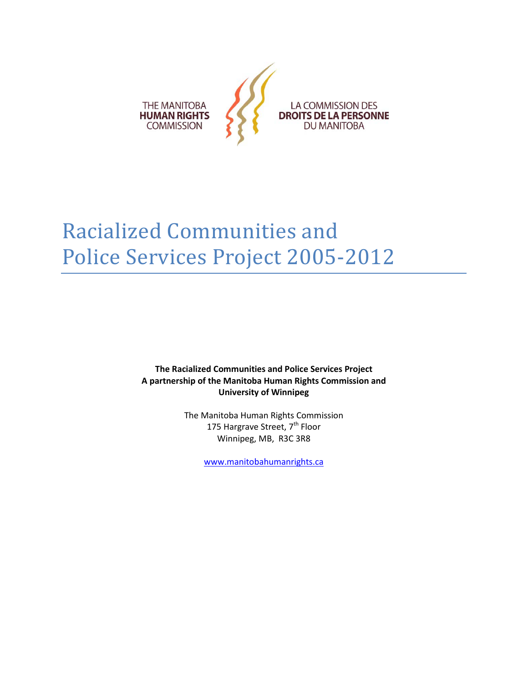

# Racialized Communities and Police Services Project 2005-2012

**The Racialized Communities and Police Services Project A partnership of the Manitoba Human Rights Commission and University of Winnipeg**

> The Manitoba Human Rights Commission 175 Hargrave Street, 7<sup>th</sup> Floor Winnipeg, MB, R3C 3R8

> > [www.manitobahumanrights.ca](http://www.manitobahumanrights.ca/)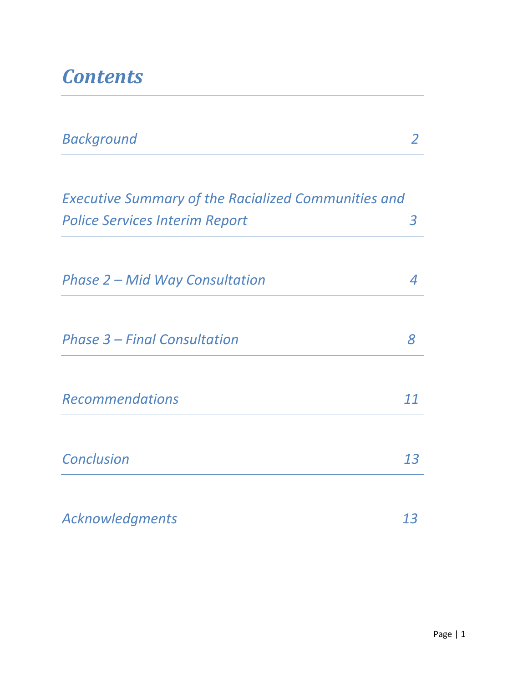## *Contents*

| <b>Background</b>                                          |    |
|------------------------------------------------------------|----|
| <b>Executive Summary of the Racialized Communities and</b> |    |
| <b>Police Services Interim Report</b>                      | 3  |
| Phase 2 – Mid Way Consultation                             | 4  |
| <b>Phase 3 - Final Consultation</b>                        | 8  |
| <b>Recommendations</b>                                     | 11 |
| <b>Conclusion</b>                                          | 13 |
| Acknowledgments                                            | 13 |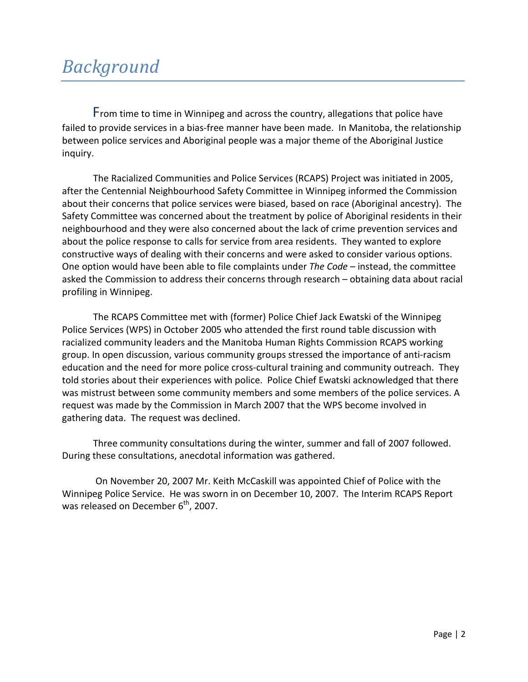From time to time in Winnipeg and across the country, allegations that police have failed to provide services in a bias-free manner have been made. In Manitoba, the relationship between police services and Aboriginal people was a major theme of the Aboriginal Justice inquiry.

The Racialized Communities and Police Services (RCAPS) Project was initiated in 2005, after the Centennial Neighbourhood Safety Committee in Winnipeg informed the Commission about their concerns that police services were biased, based on race (Aboriginal ancestry). The Safety Committee was concerned about the treatment by police of Aboriginal residents in their neighbourhood and they were also concerned about the lack of crime prevention services and about the police response to calls for service from area residents. They wanted to explore constructive ways of dealing with their concerns and were asked to consider various options. One option would have been able to file complaints under *The Code* – instead, the committee asked the Commission to address their concerns through research – obtaining data about racial profiling in Winnipeg.

The RCAPS Committee met with (former) Police Chief Jack Ewatski of the Winnipeg Police Services (WPS) in October 2005 who attended the first round table discussion with racialized community leaders and the Manitoba Human Rights Commission RCAPS working group. In open discussion, various community groups stressed the importance of anti-racism education and the need for more police cross-cultural training and community outreach. They told stories about their experiences with police. Police Chief Ewatski acknowledged that there was mistrust between some community members and some members of the police services. A request was made by the Commission in March 2007 that the WPS become involved in gathering data. The request was declined.

Three community consultations during the winter, summer and fall of 2007 followed. During these consultations, anecdotal information was gathered.

On November 20, 2007 Mr. Keith McCaskill was appointed Chief of Police with the Winnipeg Police Service. He was sworn in on December 10, 2007. The Interim RCAPS Report was released on December  $6<sup>th</sup>$ , 2007.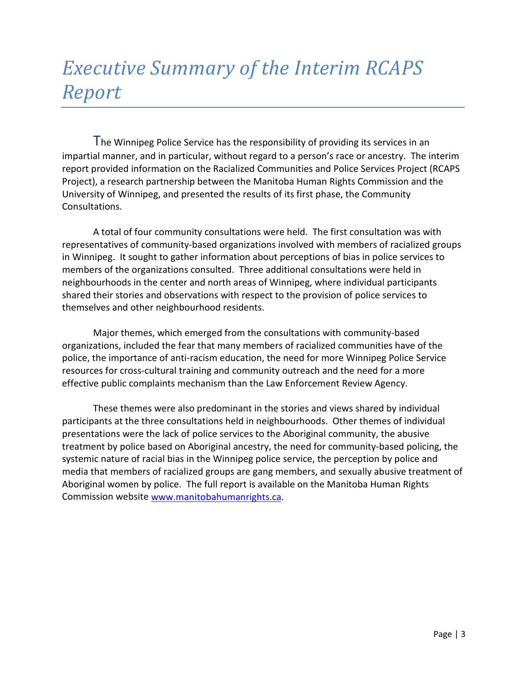# *Executive Summary of the Interim RCAPS Report*

The Winnipeg Police Service has the responsibility of providing its services in an impartial manner, and in particular, without regard to a person's race or ancestry. The interim report provided information on the Racialized Communities and Police Services Project (RCAPS Project), a research partnership between the Manitoba Human Rights Commission and the University of Winnipeg, and presented the results of its first phase, the Community Consultations.

A total of four community consultations were held. The first consultation was with representatives of community-based organizations involved with members of racialized groups in Winnipeg. It sought to gather information about perceptions of bias in police services to members of the organizations consulted. Three additional consultations were held in neighbourhoods in the center and north areas of Winnipeg, where individual participants shared their stories and observations with respect to the provision of police services to themselves and other neighbourhood residents.

Major themes, which emerged from the consultations with community-based organizations, included the fear that many members of racialized communities have of the police, the importance of anti-racism education, the need for more Winnipeg Police Service resources for cross-cultural training and community outreach and the need for a more effective public complaints mechanism than the Law Enforcement Review Agency.

These themes were also predominant in the stories and views shared by individual participants at the three consultations held in neighbourhoods. Other themes of individual presentations were the lack of police services to the Aboriginal community, the abusive treatment by police based on Aboriginal ancestry, the need for community-based policing, the systemic nature of racial bias in the Winnipeg police service, the perception by police and media that members of racialized groups are gang members, and sexually abusive treatment of Aboriginal women by police. The full report is available on the Manitoba Human Rights Commission website [www.manitobahumanrights.ca.](http://www.manitobahumanrights.ca/)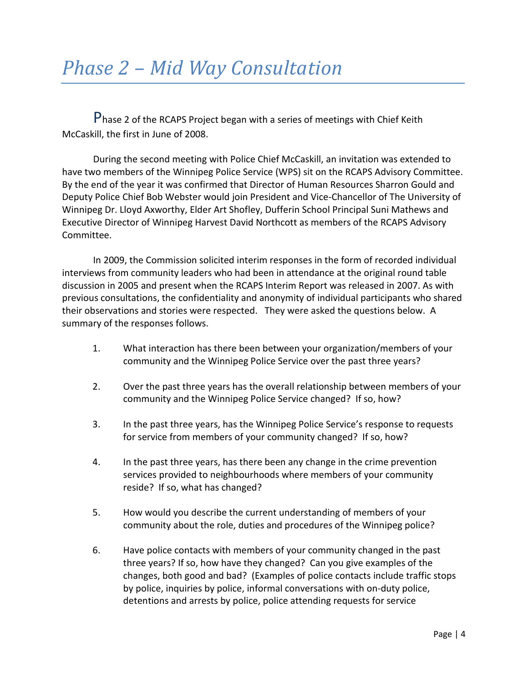Phase 2 of the RCAPS Project began with a series of meetings with Chief Keith McCaskill, the first in June of 2008.

During the second meeting with Police Chief McCaskill, an invitation was extended to have two members of the Winnipeg Police Service (WPS) sit on the RCAPS Advisory Committee. By the end of the year it was confirmed that Director of Human Resources Sharron Gould and Deputy Police Chief Bob Webster would join President and Vice-Chancellor of The University of Winnipeg Dr. Lloyd Axworthy, Elder Art Shofley, Dufferin School Principal Suni Mathews and Executive Director of Winnipeg Harvest David Northcott as members of the RCAPS Advisory Committee.

In 2009, the Commission solicited interim responses in the form of recorded individual interviews from community leaders who had been in attendance at the original round table discussion in 2005 and present when the RCAPS Interim Report was released in 2007. As with previous consultations, the confidentiality and anonymity of individual participants who shared their observations and stories were respected. They were asked the questions below. A summary of the responses follows.

- 1. What interaction has there been between your organization/members of your community and the Winnipeg Police Service over the past three years?
- 2. Over the past three years has the overall relationship between members of your community and the Winnipeg Police Service changed? If so, how?
- 3. In the past three years, has the Winnipeg Police Service's response to requests for service from members of your community changed? If so, how?
- 4. In the past three years, has there been any change in the crime prevention services provided to neighbourhoods where members of your community reside? If so, what has changed?
- 5. How would you describe the current understanding of members of your community about the role, duties and procedures of the Winnipeg police?
- 6. Have police contacts with members of your community changed in the past three years? If so, how have they changed? Can you give examples of the changes, both good and bad? (Examples of police contacts include traffic stops by police, inquiries by police, informal conversations with on-duty police, detentions and arrests by police, police attending requests for service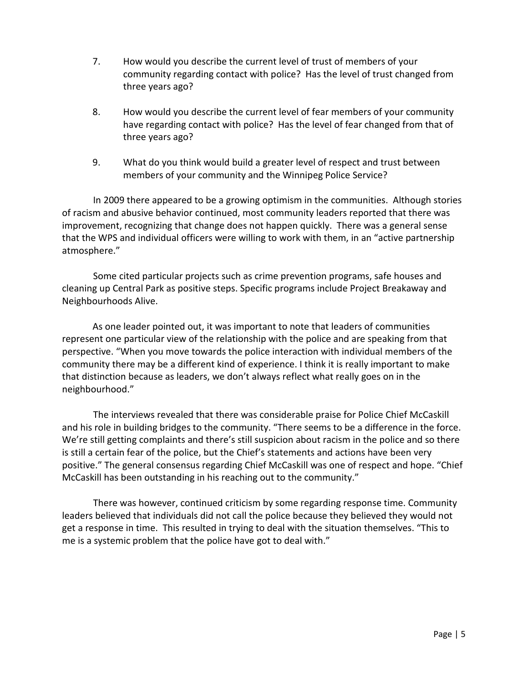- 7. How would you describe the current level of trust of members of your community regarding contact with police? Has the level of trust changed from three years ago?
- 8. How would you describe the current level of fear members of your community have regarding contact with police? Has the level of fear changed from that of three years ago?
- 9. What do you think would build a greater level of respect and trust between members of your community and the Winnipeg Police Service?

In 2009 there appeared to be a growing optimism in the communities. Although stories of racism and abusive behavior continued, most community leaders reported that there was improvement, recognizing that change does not happen quickly. There was a general sense that the WPS and individual officers were willing to work with them, in an "active partnership atmosphere."

Some cited particular projects such as crime prevention programs, safe houses and cleaning up Central Park as positive steps. Specific programs include Project Breakaway and Neighbourhoods Alive.

As one leader pointed out, it was important to note that leaders of communities represent one particular view of the relationship with the police and are speaking from that perspective. "When you move towards the police interaction with individual members of the community there may be a different kind of experience. I think it is really important to make that distinction because as leaders, we don't always reflect what really goes on in the neighbourhood."

The interviews revealed that there was considerable praise for Police Chief McCaskill and his role in building bridges to the community. "There seems to be a difference in the force. We're still getting complaints and there's still suspicion about racism in the police and so there is still a certain fear of the police, but the Chief's statements and actions have been very positive." The general consensus regarding Chief McCaskill was one of respect and hope. "Chief McCaskill has been outstanding in his reaching out to the community."

There was however, continued criticism by some regarding response time. Community leaders believed that individuals did not call the police because they believed they would not get a response in time. This resulted in trying to deal with the situation themselves. "This to me is a systemic problem that the police have got to deal with."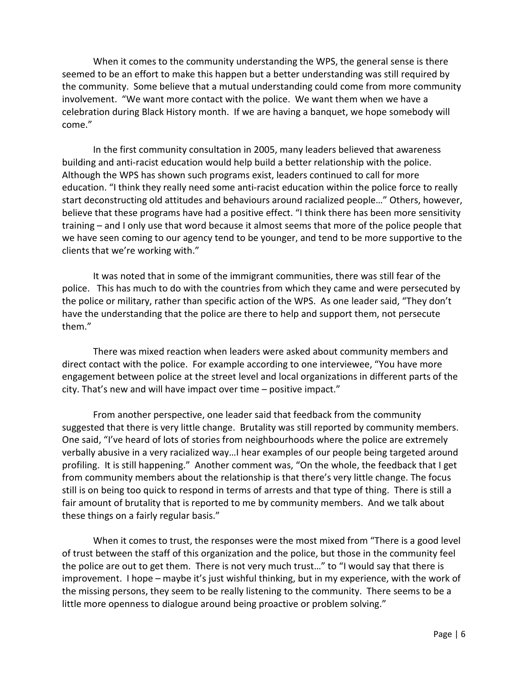When it comes to the community understanding the WPS, the general sense is there seemed to be an effort to make this happen but a better understanding was still required by the community. Some believe that a mutual understanding could come from more community involvement. "We want more contact with the police. We want them when we have a celebration during Black History month. If we are having a banquet, we hope somebody will come."

In the first community consultation in 2005, many leaders believed that awareness building and anti-racist education would help build a better relationship with the police. Although the WPS has shown such programs exist, leaders continued to call for more education. "I think they really need some anti-racist education within the police force to really start deconstructing old attitudes and behaviours around racialized people…" Others, however, believe that these programs have had a positive effect. "I think there has been more sensitivity training – and I only use that word because it almost seems that more of the police people that we have seen coming to our agency tend to be younger, and tend to be more supportive to the clients that we're working with."

It was noted that in some of the immigrant communities, there was still fear of the police. This has much to do with the countries from which they came and were persecuted by the police or military, rather than specific action of the WPS. As one leader said, "They don't have the understanding that the police are there to help and support them, not persecute them."

There was mixed reaction when leaders were asked about community members and direct contact with the police. For example according to one interviewee, "You have more engagement between police at the street level and local organizations in different parts of the city. That's new and will have impact over time – positive impact."

From another perspective, one leader said that feedback from the community suggested that there is very little change. Brutality was still reported by community members. One said, "I've heard of lots of stories from neighbourhoods where the police are extremely verbally abusive in a very racialized way…I hear examples of our people being targeted around profiling. It is still happening." Another comment was, "On the whole, the feedback that I get from community members about the relationship is that there's very little change. The focus still is on being too quick to respond in terms of arrests and that type of thing. There is still a fair amount of brutality that is reported to me by community members. And we talk about these things on a fairly regular basis."

When it comes to trust, the responses were the most mixed from "There is a good level of trust between the staff of this organization and the police, but those in the community feel the police are out to get them. There is not very much trust…" to "I would say that there is improvement. I hope – maybe it's just wishful thinking, but in my experience, with the work of the missing persons, they seem to be really listening to the community. There seems to be a little more openness to dialogue around being proactive or problem solving."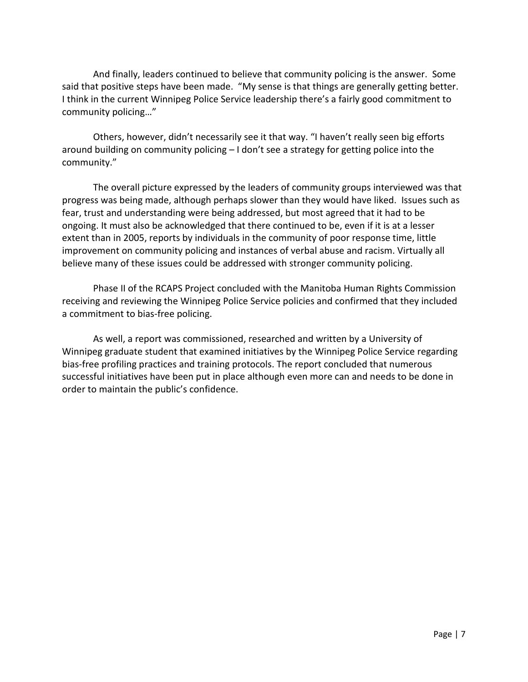And finally, leaders continued to believe that community policing is the answer. Some said that positive steps have been made. "My sense is that things are generally getting better. I think in the current Winnipeg Police Service leadership there's a fairly good commitment to community policing…"

Others, however, didn't necessarily see it that way. "I haven't really seen big efforts around building on community policing – I don't see a strategy for getting police into the community."

The overall picture expressed by the leaders of community groups interviewed was that progress was being made, although perhaps slower than they would have liked. Issues such as fear, trust and understanding were being addressed, but most agreed that it had to be ongoing. It must also be acknowledged that there continued to be, even if it is at a lesser extent than in 2005, reports by individuals in the community of poor response time, little improvement on community policing and instances of verbal abuse and racism. Virtually all believe many of these issues could be addressed with stronger community policing.

Phase II of the RCAPS Project concluded with the Manitoba Human Rights Commission receiving and reviewing the Winnipeg Police Service policies and confirmed that they included a commitment to bias-free policing.

As well, a report was commissioned, researched and written by a University of Winnipeg graduate student that examined initiatives by the Winnipeg Police Service regarding bias-free profiling practices and training protocols. The report concluded that numerous successful initiatives have been put in place although even more can and needs to be done in order to maintain the public's confidence.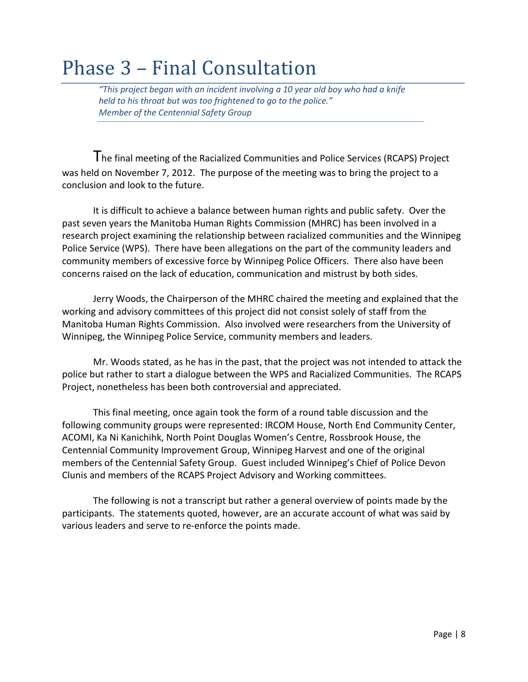#### Phase 3 – Final Consultation

*"This project began with an incident involving a 10 year old boy who had a knife held to his throat but was too frightened to go to the police." Member of the Centennial Safety Group* 

The final meeting of the Racialized Communities and Police Services (RCAPS) Project was held on November 7, 2012. The purpose of the meeting was to bring the project to a conclusion and look to the future.

It is difficult to achieve a balance between human rights and public safety. Over the past seven years the Manitoba Human Rights Commission (MHRC) has been involved in a research project examining the relationship between racialized communities and the Winnipeg Police Service (WPS). There have been allegations on the part of the community leaders and community members of excessive force by Winnipeg Police Officers. There also have been concerns raised on the lack of education, communication and mistrust by both sides.

Jerry Woods, the Chairperson of the MHRC chaired the meeting and explained that the working and advisory committees of this project did not consist solely of staff from the Manitoba Human Rights Commission. Also involved were researchers from the University of Winnipeg, the Winnipeg Police Service, community members and leaders.

Mr. Woods stated, as he has in the past, that the project was not intended to attack the police but rather to start a dialogue between the WPS and Racialized Communities. The RCAPS Project, nonetheless has been both controversial and appreciated.

This final meeting, once again took the form of a round table discussion and the following community groups were represented: IRCOM House, North End Community Center, ACOMI, Ka Ni Kanichihk, North Point Douglas Women's Centre, Rossbrook House, the Centennial Community Improvement Group, Winnipeg Harvest and one of the original members of the Centennial Safety Group. Guest included Winnipeg's Chief of Police Devon Clunis and members of the RCAPS Project Advisory and Working committees.

The following is not a transcript but rather a general overview of points made by the participants. The statements quoted, however, are an accurate account of what was said by various leaders and serve to re-enforce the points made.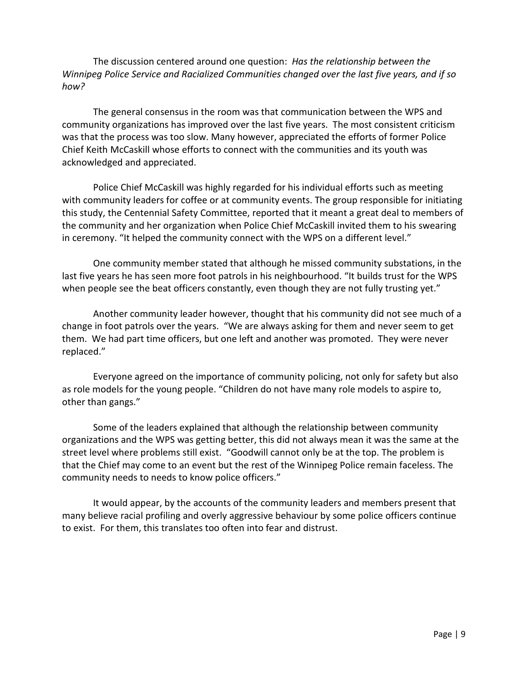The discussion centered around one question: *Has the relationship between the Winnipeg Police Service and Racialized Communities changed over the last five years, and if so how?*

The general consensus in the room was that communication between the WPS and community organizations has improved over the last five years. The most consistent criticism was that the process was too slow. Many however, appreciated the efforts of former Police Chief Keith McCaskill whose efforts to connect with the communities and its youth was acknowledged and appreciated.

Police Chief McCaskill was highly regarded for his individual efforts such as meeting with community leaders for coffee or at community events. The group responsible for initiating this study, the Centennial Safety Committee, reported that it meant a great deal to members of the community and her organization when Police Chief McCaskill invited them to his swearing in ceremony. "It helped the community connect with the WPS on a different level."

One community member stated that although he missed community substations, in the last five years he has seen more foot patrols in his neighbourhood. "It builds trust for the WPS when people see the beat officers constantly, even though they are not fully trusting yet."

Another community leader however, thought that his community did not see much of a change in foot patrols over the years. "We are always asking for them and never seem to get them. We had part time officers, but one left and another was promoted. They were never replaced."

Everyone agreed on the importance of community policing, not only for safety but also as role models for the young people. "Children do not have many role models to aspire to, other than gangs."

Some of the leaders explained that although the relationship between community organizations and the WPS was getting better, this did not always mean it was the same at the street level where problems still exist. "Goodwill cannot only be at the top. The problem is that the Chief may come to an event but the rest of the Winnipeg Police remain faceless. The community needs to needs to know police officers."

It would appear, by the accounts of the community leaders and members present that many believe racial profiling and overly aggressive behaviour by some police officers continue to exist. For them, this translates too often into fear and distrust.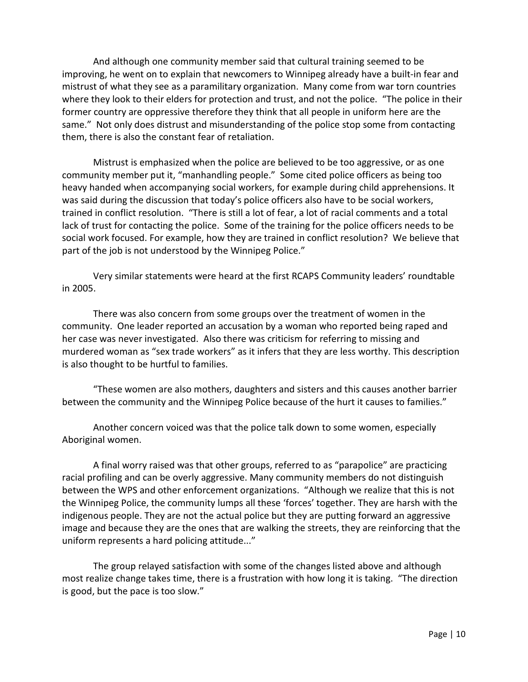And although one community member said that cultural training seemed to be improving, he went on to explain that newcomers to Winnipeg already have a built-in fear and mistrust of what they see as a paramilitary organization. Many come from war torn countries where they look to their elders for protection and trust, and not the police. "The police in their former country are oppressive therefore they think that all people in uniform here are the same." Not only does distrust and misunderstanding of the police stop some from contacting them, there is also the constant fear of retaliation.

Mistrust is emphasized when the police are believed to be too aggressive, or as one community member put it, "manhandling people." Some cited police officers as being too heavy handed when accompanying social workers, for example during child apprehensions. It was said during the discussion that today's police officers also have to be social workers, trained in conflict resolution. "There is still a lot of fear, a lot of racial comments and a total lack of trust for contacting the police. Some of the training for the police officers needs to be social work focused. For example, how they are trained in conflict resolution? We believe that part of the job is not understood by the Winnipeg Police."

Very similar statements were heard at the first RCAPS Community leaders' roundtable in 2005.

There was also concern from some groups over the treatment of women in the community. One leader reported an accusation by a woman who reported being raped and her case was never investigated. Also there was criticism for referring to missing and murdered woman as "sex trade workers" as it infers that they are less worthy. This description is also thought to be hurtful to families.

"These women are also mothers, daughters and sisters and this causes another barrier between the community and the Winnipeg Police because of the hurt it causes to families."

Another concern voiced was that the police talk down to some women, especially Aboriginal women.

A final worry raised was that other groups, referred to as "parapolice" are practicing racial profiling and can be overly aggressive. Many community members do not distinguish between the WPS and other enforcement organizations. "Although we realize that this is not the Winnipeg Police, the community lumps all these 'forces' together. They are harsh with the indigenous people. They are not the actual police but they are putting forward an aggressive image and because they are the ones that are walking the streets, they are reinforcing that the uniform represents a hard policing attitude..."

The group relayed satisfaction with some of the changes listed above and although most realize change takes time, there is a frustration with how long it is taking. "The direction is good, but the pace is too slow."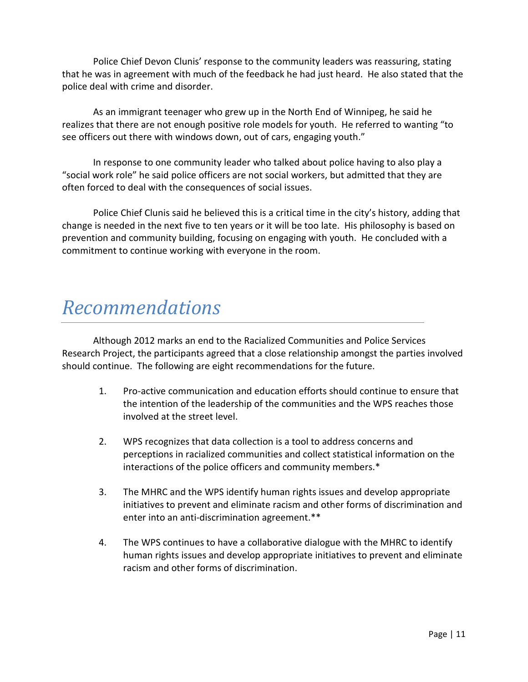Police Chief Devon Clunis' response to the community leaders was reassuring, stating that he was in agreement with much of the feedback he had just heard. He also stated that the police deal with crime and disorder.

As an immigrant teenager who grew up in the North End of Winnipeg, he said he realizes that there are not enough positive role models for youth. He referred to wanting "to see officers out there with windows down, out of cars, engaging youth."

In response to one community leader who talked about police having to also play a "social work role" he said police officers are not social workers, but admitted that they are often forced to deal with the consequences of social issues.

Police Chief Clunis said he believed this is a critical time in the city's history, adding that change is needed in the next five to ten years or it will be too late. His philosophy is based on prevention and community building, focusing on engaging with youth. He concluded with a commitment to continue working with everyone in the room.

#### *Recommendations*

Although 2012 marks an end to the Racialized Communities and Police Services Research Project, the participants agreed that a close relationship amongst the parties involved should continue. The following are eight recommendations for the future.

- 1. Pro-active communication and education efforts should continue to ensure that the intention of the leadership of the communities and the WPS reaches those involved at the street level.
- 2. WPS recognizes that data collection is a tool to address concerns and perceptions in racialized communities and collect statistical information on the interactions of the police officers and community members.\*
- 3. The MHRC and the WPS identify human rights issues and develop appropriate initiatives to prevent and eliminate racism and other forms of discrimination and enter into an anti-discrimination agreement.\*\*
- 4. The WPS continues to have a collaborative dialogue with the MHRC to identify human rights issues and develop appropriate initiatives to prevent and eliminate racism and other forms of discrimination.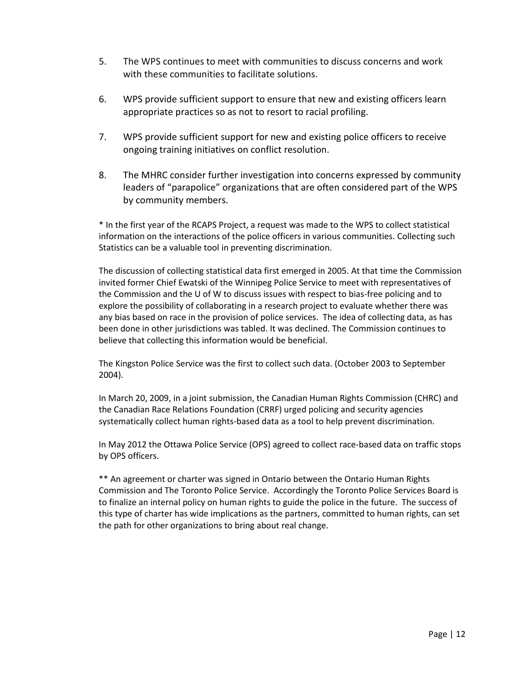- 5. The WPS continues to meet with communities to discuss concerns and work with these communities to facilitate solutions.
- 6. WPS provide sufficient support to ensure that new and existing officers learn appropriate practices so as not to resort to racial profiling.
- 7. WPS provide sufficient support for new and existing police officers to receive ongoing training initiatives on conflict resolution.
- 8. The MHRC consider further investigation into concerns expressed by community leaders of "parapolice" organizations that are often considered part of the WPS by community members.

\* In the first year of the RCAPS Project, a request was made to the WPS to collect statistical information on the interactions of the police officers in various communities. Collecting such Statistics can be a valuable tool in preventing discrimination.

The discussion of collecting statistical data first emerged in 2005. At that time the Commission invited former Chief Ewatski of the Winnipeg Police Service to meet with representatives of the Commission and the U of W to discuss issues with respect to bias-free policing and to explore the possibility of collaborating in a research project to evaluate whether there was any bias based on race in the provision of police services. The idea of collecting data, as has been done in other jurisdictions was tabled. It was declined. The Commission continues to believe that collecting this information would be beneficial.

The Kingston Police Service was the first to collect such data. (October 2003 to September 2004).

In March 20, 2009, in a joint submission, the Canadian Human Rights Commission (CHRC) and the Canadian Race Relations Foundation (CRRF) urged policing and security agencies systematically collect human rights-based data as a tool to help prevent discrimination.

In May 2012 the Ottawa Police Service (OPS) agreed to collect race-based data on traffic stops by OPS officers.

\*\* An agreement or charter was signed in Ontario between the Ontario Human Rights Commission and The Toronto Police Service. Accordingly the Toronto Police Services Board is to finalize an internal policy on human rights to guide the police in the future. The success of this type of charter has wide implications as the partners, committed to human rights, can set the path for other organizations to bring about real change.